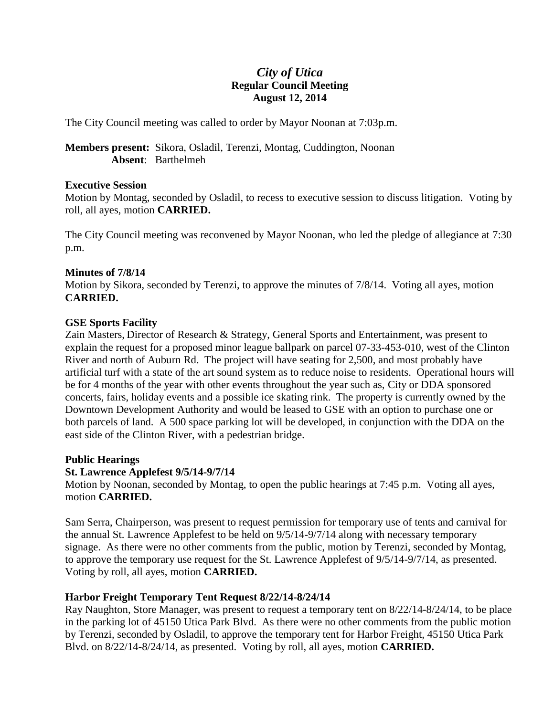# *City of Utica* **Regular Council Meeting August 12, 2014**

The City Council meeting was called to order by Mayor Noonan at 7:03p.m.

**Members present:** Sikora, Osladil, Terenzi, Montag, Cuddington, Noonan **Absent**: Barthelmeh

#### **Executive Session**

Motion by Montag, seconded by Osladil, to recess to executive session to discuss litigation. Voting by roll, all ayes, motion **CARRIED.**

The City Council meeting was reconvened by Mayor Noonan, who led the pledge of allegiance at 7:30 p.m.

## **Minutes of 7/8/14**

Motion by Sikora, seconded by Terenzi, to approve the minutes of 7/8/14. Voting all ayes, motion **CARRIED.**

## **GSE Sports Facility**

Zain Masters, Director of Research & Strategy, General Sports and Entertainment, was present to explain the request for a proposed minor league ballpark on parcel 07-33-453-010, west of the Clinton River and north of Auburn Rd. The project will have seating for 2,500, and most probably have artificial turf with a state of the art sound system as to reduce noise to residents. Operational hours will be for 4 months of the year with other events throughout the year such as, City or DDA sponsored concerts, fairs, holiday events and a possible ice skating rink. The property is currently owned by the Downtown Development Authority and would be leased to GSE with an option to purchase one or both parcels of land. A 500 space parking lot will be developed, in conjunction with the DDA on the east side of the Clinton River, with a pedestrian bridge.

#### **Public Hearings**

# **St. Lawrence Applefest 9/5/14-9/7/14**

Motion by Noonan, seconded by Montag, to open the public hearings at 7:45 p.m. Voting all ayes, motion **CARRIED.**

Sam Serra, Chairperson, was present to request permission for temporary use of tents and carnival for the annual St. Lawrence Applefest to be held on 9/5/14-9/7/14 along with necessary temporary signage. As there were no other comments from the public, motion by Terenzi, seconded by Montag, to approve the temporary use request for the St. Lawrence Applefest of 9/5/14-9/7/14, as presented. Voting by roll, all ayes, motion **CARRIED.**

# **Harbor Freight Temporary Tent Request 8/22/14-8/24/14**

Ray Naughton, Store Manager, was present to request a temporary tent on 8/22/14-8/24/14, to be place in the parking lot of 45150 Utica Park Blvd. As there were no other comments from the public motion by Terenzi, seconded by Osladil, to approve the temporary tent for Harbor Freight, 45150 Utica Park Blvd. on 8/22/14-8/24/14, as presented. Voting by roll, all ayes, motion **CARRIED.**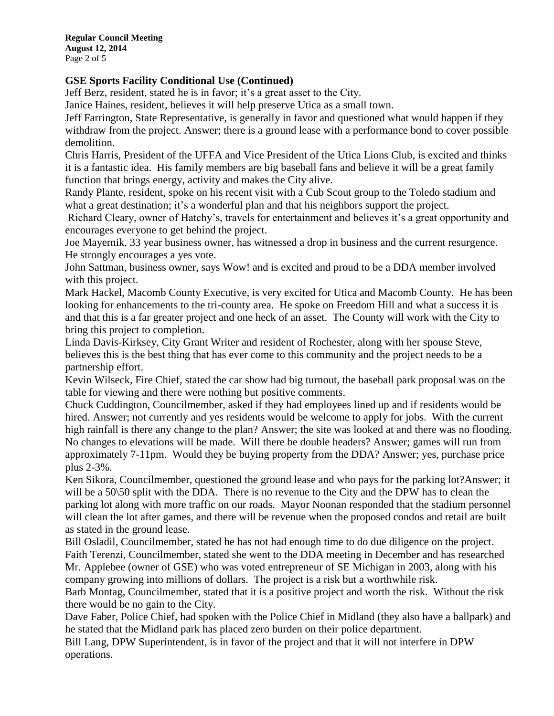**Regular Council Meeting August 12, 2014** Page 2 of 5

# **GSE Sports Facility Conditional Use (Continued)**

Jeff Berz, resident, stated he is in favor; it's a great asset to the City.

Janice Haines, resident, believes it will help preserve Utica as a small town.

Jeff Farrington, State Representative, is generally in favor and questioned what would happen if they withdraw from the project. Answer; there is a ground lease with a performance bond to cover possible demolition.

Chris Harris, President of the UFFA and Vice President of the Utica Lions Club, is excited and thinks it is a fantastic idea. His family members are big baseball fans and believe it will be a great family function that brings energy, activity and makes the City alive.

Randy Plante, resident, spoke on his recent visit with a Cub Scout group to the Toledo stadium and what a great destination; it's a wonderful plan and that his neighbors support the project.

Richard Cleary, owner of Hatchy's, travels for entertainment and believes it's a great opportunity and encourages everyone to get behind the project.

Joe Mayernik, 33 year business owner, has witnessed a drop in business and the current resurgence. He strongly encourages a yes vote.

John Sattman, business owner, says Wow! and is excited and proud to be a DDA member involved with this project.

Mark Hackel, Macomb County Executive, is very excited for Utica and Macomb County. He has been looking for enhancements to the tri-county area. He spoke on Freedom Hill and what a success it is and that this is a far greater project and one heck of an asset. The County will work with the City to bring this project to completion.

Linda Davis-Kirksey, City Grant Writer and resident of Rochester, along with her spouse Steve, believes this is the best thing that has ever come to this community and the project needs to be a partnership effort.

Kevin Wilseck, Fire Chief, stated the car show had big turnout, the baseball park proposal was on the table for viewing and there were nothing but positive comments.

Chuck Cuddington, Councilmember, asked if they had employees lined up and if residents would be hired. Answer; not currently and yes residents would be welcome to apply for jobs. With the current high rainfall is there any change to the plan? Answer; the site was looked at and there was no flooding. No changes to elevations will be made. Will there be double headers? Answer; games will run from approximately 7-11pm. Would they be buying property from the DDA? Answer; yes, purchase price plus 2-3%.

Ken Sikora, Councilmember, questioned the ground lease and who pays for the parking lot?Answer; it will be a 50\50 split with the DDA. There is no revenue to the City and the DPW has to clean the parking lot along with more traffic on our roads. Mayor Noonan responded that the stadium personnel will clean the lot after games, and there will be revenue when the proposed condos and retail are built as stated in the ground lease.

Bill Osladil, Councilmember, stated he has not had enough time to do due diligence on the project. Faith Terenzi, Councilmember, stated she went to the DDA meeting in December and has researched Mr. Applebee (owner of GSE) who was voted entrepreneur of SE Michigan in 2003, along with his company growing into millions of dollars. The project is a risk but a worthwhile risk.

Barb Montag, Councilmember, stated that it is a positive project and worth the risk. Without the risk there would be no gain to the City.

Dave Faber, Police Chief, had spoken with the Police Chief in Midland (they also have a ballpark) and he stated that the Midland park has placed zero burden on their police department.

Bill Lang, DPW Superintendent, is in favor of the project and that it will not interfere in DPW operations.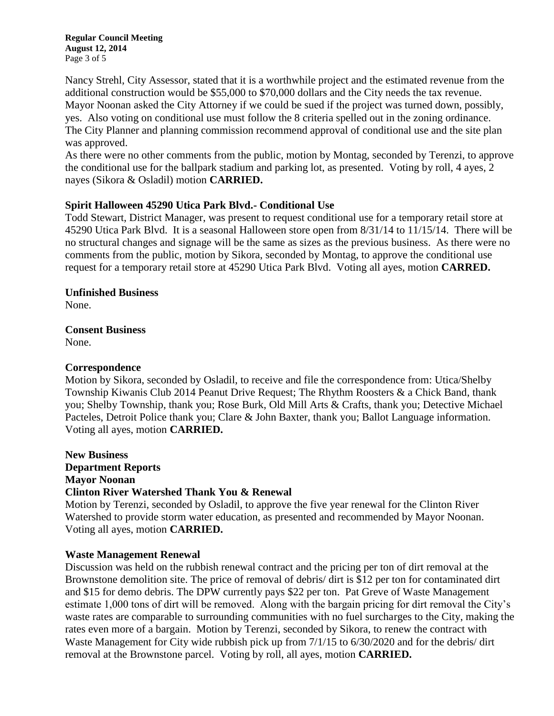**Regular Council Meeting August 12, 2014** Page 3 of 5

Nancy Strehl, City Assessor, stated that it is a worthwhile project and the estimated revenue from the additional construction would be \$55,000 to \$70,000 dollars and the City needs the tax revenue. Mayor Noonan asked the City Attorney if we could be sued if the project was turned down, possibly, yes. Also voting on conditional use must follow the 8 criteria spelled out in the zoning ordinance. The City Planner and planning commission recommend approval of conditional use and the site plan was approved.

As there were no other comments from the public, motion by Montag, seconded by Terenzi, to approve the conditional use for the ballpark stadium and parking lot, as presented. Voting by roll, 4 ayes, 2 nayes (Sikora & Osladil) motion **CARRIED.**

## **Spirit Halloween 45290 Utica Park Blvd.- Conditional Use**

Todd Stewart, District Manager, was present to request conditional use for a temporary retail store at 45290 Utica Park Blvd. It is a seasonal Halloween store open from 8/31/14 to 11/15/14. There will be no structural changes and signage will be the same as sizes as the previous business. As there were no comments from the public, motion by Sikora, seconded by Montag, to approve the conditional use request for a temporary retail store at 45290 Utica Park Blvd. Voting all ayes, motion **CARRED.**

#### **Unfinished Business**

None.

**Consent Business**

None.

#### **Correspondence**

Motion by Sikora, seconded by Osladil, to receive and file the correspondence from: Utica/Shelby Township Kiwanis Club 2014 Peanut Drive Request; The Rhythm Roosters & a Chick Band, thank you; Shelby Township, thank you; Rose Burk, Old Mill Arts & Crafts, thank you; Detective Michael Pacteles, Detroit Police thank you; Clare & John Baxter, thank you; Ballot Language information. Voting all ayes, motion **CARRIED.**

**New Business Department Reports Mayor Noonan Clinton River Watershed Thank You & Renewal**

Motion by Terenzi, seconded by Osladil, to approve the five year renewal for the Clinton River Watershed to provide storm water education, as presented and recommended by Mayor Noonan. Voting all ayes, motion **CARRIED.**

#### **Waste Management Renewal**

Discussion was held on the rubbish renewal contract and the pricing per ton of dirt removal at the Brownstone demolition site. The price of removal of debris/ dirt is \$12 per ton for contaminated dirt and \$15 for demo debris. The DPW currently pays \$22 per ton. Pat Greve of Waste Management estimate 1,000 tons of dirt will be removed. Along with the bargain pricing for dirt removal the City's waste rates are comparable to surrounding communities with no fuel surcharges to the City, making the rates even more of a bargain. Motion by Terenzi, seconded by Sikora, to renew the contract with Waste Management for City wide rubbish pick up from 7/1/15 to 6/30/2020 and for the debris/ dirt removal at the Brownstone parcel. Voting by roll, all ayes, motion **CARRIED.**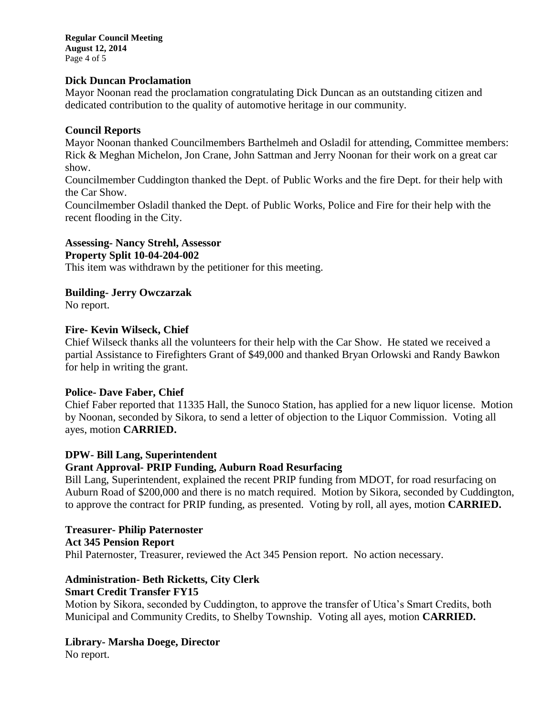**Regular Council Meeting August 12, 2014** Page 4 of 5

#### **Dick Duncan Proclamation**

Mayor Noonan read the proclamation congratulating Dick Duncan as an outstanding citizen and dedicated contribution to the quality of automotive heritage in our community.

#### **Council Reports**

Mayor Noonan thanked Councilmembers Barthelmeh and Osladil for attending, Committee members: Rick & Meghan Michelon, Jon Crane, John Sattman and Jerry Noonan for their work on a great car show.

Councilmember Cuddington thanked the Dept. of Public Works and the fire Dept. for their help with the Car Show.

Councilmember Osladil thanked the Dept. of Public Works, Police and Fire for their help with the recent flooding in the City.

#### **Assessing- Nancy Strehl, Assessor**

**Property Split 10-04-204-002**

This item was withdrawn by the petitioner for this meeting.

#### **Building- Jerry Owczarzak**

No report.

#### **Fire- Kevin Wilseck, Chief**

Chief Wilseck thanks all the volunteers for their help with the Car Show. He stated we received a partial Assistance to Firefighters Grant of \$49,000 and thanked Bryan Orlowski and Randy Bawkon for help in writing the grant.

#### **Police- Dave Faber, Chief**

Chief Faber reported that 11335 Hall, the Sunoco Station, has applied for a new liquor license. Motion by Noonan, seconded by Sikora, to send a letter of objection to the Liquor Commission. Voting all ayes, motion **CARRIED.**

#### **DPW- Bill Lang, Superintendent**

#### **Grant Approval- PRIP Funding, Auburn Road Resurfacing**

Bill Lang, Superintendent, explained the recent PRIP funding from MDOT, for road resurfacing on Auburn Road of \$200,000 and there is no match required. Motion by Sikora, seconded by Cuddington, to approve the contract for PRIP funding, as presented. Voting by roll, all ayes, motion **CARRIED.**

## **Treasurer- Philip Paternoster Act 345 Pension Report**

Phil Paternoster, Treasurer, reviewed the Act 345 Pension report. No action necessary.

# **Administration- Beth Ricketts, City Clerk**

# **Smart Credit Transfer FY15**

Motion by Sikora, seconded by Cuddington, to approve the transfer of Utica's Smart Credits, both Municipal and Community Credits, to Shelby Township. Voting all ayes, motion **CARRIED.**

# **Library- Marsha Doege, Director**

No report.